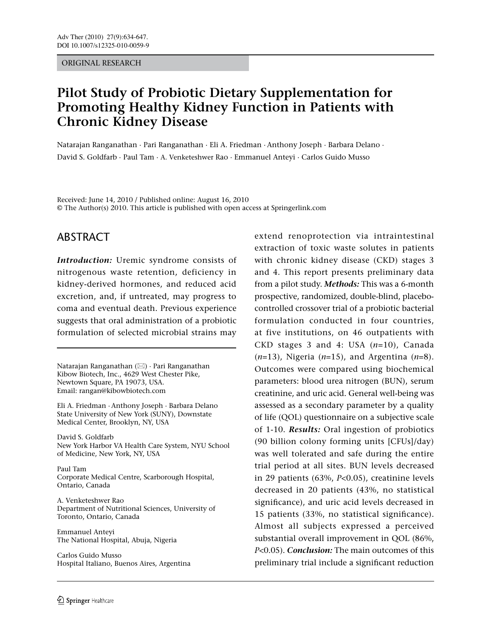#### ORIGINAL RESEARCH

# **Pilot Study of Probiotic Dietary Supplementation for Promoting Healthy Kidney Function in Patients with Chronic Kidney Disease**

Natarajan Ranganathan · Pari Ranganathan · Eli A. Friedman · Anthony Joseph · Barbara Delano · David S. Goldfarb · Paul Tam · A. Venketeshwer Rao · Emmanuel Anteyi · Carlos Guido Musso

Received: June 14, 2010 / Published online: August 16, 2010 © The Author(s) 2010. This article is published with open access at Springerlink.com

## ABSTRACT

*Introduction:* Uremic syndrome consists of nitrogenous waste retention, deficiency in kidney-derived hormones, and reduced acid excretion, and, if untreated, may progress to coma and eventual death. Previous experience suggests that oral administration of a probiotic formulation of selected microbial strains may

Natarajan Ranganathan  $(\boxtimes)$  · Pari Ranganathan Kibow Biotech, Inc., 4629 West Chester Pike, Newtown Square, PA 19073, USA. Email: rangan@kibowbiotech.com

Eli A. Friedman · Anthony Joseph · Barbara Delano State University of New York (SUNY), Downstate Medical Center, Brooklyn, NY, USA

David S. Goldfarb New York Harbor VA Health Care System, NYU School of Medicine, New York, NY, USA

Paul Tam Corporate Medical Centre, Scarborough Hospital, Ontario, Canada

A. Venketeshwer Rao Department of Nutritional Sciences, University of Toronto, Ontario, Canada

Emmanuel Anteyi The National Hospital, Abuja, Nigeria

Carlos Guido Musso Hospital Italiano, Buenos Aires, Argentina extend renoprotection via intraintestinal extraction of toxic waste solutes in patients with chronic kidney disease (CKD) stages 3 and 4. This report presents preliminary data from a pilot study. *Methods:* This was a 6-month prospective, randomized, double-blind, placebocontrolled crossover trial of a probiotic bacterial formulation conducted in four countries, at five institutions, on 46 outpatients with CKD stages 3 and 4: USA (*n*=10), Canada (*n*=13), Nigeria (*n*=15), and Argentina (*n*=8). Outcomes were compared using biochemical parameters: blood urea nitrogen (BUN), serum creatinine, and uric acid. General well-being was assessed as a secondary parameter by a quality of life (QOL) questionnaire on a subjective scale of 1-10. *Results:* Oral ingestion of probiotics (90 billion colony forming units [CFUs]/day) was well tolerated and safe during the entire trial period at all sites. BUN levels decreased in 29 patients (63%, *P*<0.05), creatinine levels decreased in 20 patients (43%, no statistical significance), and uric acid levels decreased in 15 patients (33%, no statistical significance). Almost all subjects expressed a perceived substantial overall improvement in QOL (86%, *P*<0.05). *Conclusion:* The main outcomes of this preliminary trial include a significant reduction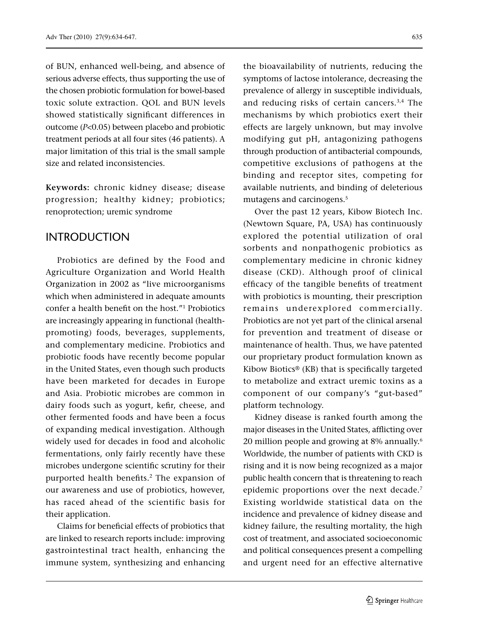of BUN, enhanced well-being, and absence of serious adverse effects, thus supporting the use of the chosen probiotic formulation for bowel-based toxic solute extraction. QOL and BUN levels showed statistically significant differences in outcome (*P*<0.05) between placebo and probiotic treatment periods at all four sites (46 patients). A major limitation of this trial is the small sample size and related inconsistencies.

**Keywords:** chronic kidney disease; disease progression; healthy kidney; probiotics; renoprotection; uremic syndrome

### INTRODUCTION

Probiotics are defined by the Food and Agriculture Organization and World Health Organization in 2002 as "live microorganisms which when administered in adequate amounts confer a health benefit on the host."1 Probiotics are increasingly appearing in functional (healthpromoting) foods, beverages, supplements, and complementary medicine. Probiotics and probiotic foods have recently become popular in the United States, even though such products have been marketed for decades in Europe and Asia. Probiotic microbes are common in dairy foods such as yogurt, kefir, cheese, and other fermented foods and have been a focus of expanding medical investigation. Although widely used for decades in food and alcoholic fermentations, only fairly recently have these microbes undergone scientific scrutiny for their purported health benefits.2 The expansion of our awareness and use of probiotics, however, has raced ahead of the scientific basis for their application.

Claims for beneficial effects of probiotics that are linked to research reports include: improving gastrointestinal tract health, enhancing the immune system, synthesizing and enhancing

the bioavailability of nutrients, reducing the symptoms of lactose intolerance, decreasing the prevalence of allergy in susceptible individuals, and reducing risks of certain cancers.3,4 The mechanisms by which probiotics exert their effects are largely unknown, but may involve modifying gut pH, antagonizing pathogens through production of antibacterial compounds, competitive exclusions of pathogens at the binding and receptor sites, competing for available nutrients, and binding of deleterious mutagens and carcinogens.<sup>5</sup>

Over the past 12 years, Kibow Biotech Inc. (Newtown Square, PA, USA) has continuously explored the potential utilization of oral sorbents and nonpathogenic probiotics as complementary medicine in chronic kidney disease (CKD). Although proof of clinical efficacy of the tangible benefits of treatment with probiotics is mounting, their prescription remains underexplored commercially. Probiotics are not yet part of the clinical arsenal for prevention and treatment of disease or maintenance of health. Thus, we have patented our proprietary product formulation known as Kibow Biotics® (KB) that is specifically targeted to metabolize and extract uremic toxins as a component of our company's "gut-based" platform technology.

Kidney disease is ranked fourth among the major diseases in the United States, afflicting over 20 million people and growing at 8% annually.6 Worldwide, the number of patients with CKD is rising and it is now being recognized as a major public health concern that is threatening to reach epidemic proportions over the next decade.<sup>7</sup> Existing worldwide statistical data on the incidence and prevalence of kidney disease and kidney failure, the resulting mortality, the high cost of treatment, and associated socioeconomic and political consequences present a compelling and urgent need for an effective alternative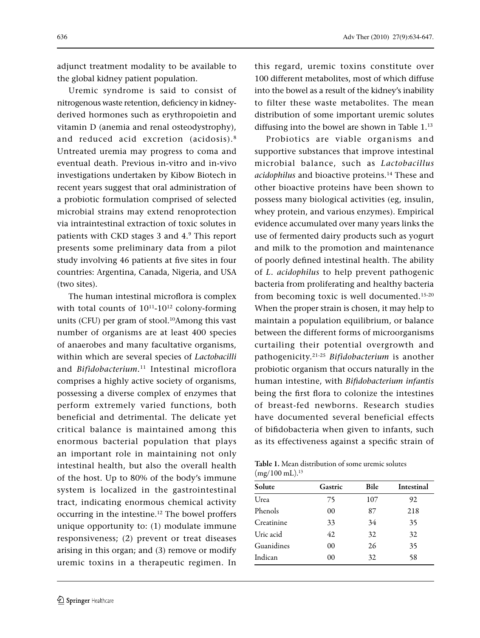adjunct treatment modality to be available to the global kidney patient population.

Uremic syndrome is said to consist of nitrogenous waste retention, deficiency in kidneyderived hormones such as erythropoietin and vitamin D (anemia and renal osteodystrophy), and reduced acid excretion (acidosis).8 Untreated uremia may progress to coma and eventual death. Previous in-vitro and in-vivo investigations undertaken by Kibow Biotech in recent years suggest that oral administration of a probiotic formulation comprised of selected microbial strains may extend renoprotection via intraintestinal extraction of toxic solutes in patients with CKD stages 3 and 4.9 This report presents some preliminary data from a pilot study involving 46 patients at five sites in four countries: Argentina, Canada, Nigeria, and USA (two sites).

The human intestinal microflora is complex with total counts of  $10^{11}$ - $10^{12}$  colony-forming units (CFU) per gram of stool.<sup>10</sup>Among this vast number of organisms are at least 400 species of anaerobes and many facultative organisms, within which are several species of *Lactobacilli* and *Bifidobacterium.*11 Intestinal microflora comprises a highly active society of organisms, possessing a diverse complex of enzymes that perform extremely varied functions, both beneficial and detrimental. The delicate yet critical balance is maintained among this enormous bacterial population that plays an important role in maintaining not only intestinal health, but also the overall health of the host. Up to 80% of the body's immune system is localized in the gastrointestinal tract, indicating enormous chemical activity occurring in the intestine.<sup>12</sup> The bowel proffers unique opportunity to: (1) modulate immune responsiveness; (2) prevent or treat diseases arising in this organ; and (3) remove or modify uremic toxins in a therapeutic regimen. In

this regard, uremic toxins constitute over 100 different metabolites, most of which diffuse into the bowel as a result of the kidney's inability to filter these waste metabolites. The mean distribution of some important uremic solutes diffusing into the bowel are shown in Table 1.<sup>13</sup>

Probiotics are viable organisms and supportive substances that improve intestinal microbial balance, such as *Lactobacillus acidophilus* and bioactive proteins.14 These and other bioactive proteins have been shown to possess many biological activities (eg, insulin, whey protein, and various enzymes). Empirical evidence accumulated over many years links the use of fermented dairy products such as yogurt and milk to the promotion and maintenance of poorly defined intestinal health. The ability of *L. acidophilus* to help prevent pathogenic bacteria from proliferating and healthy bacteria from becoming toxic is well documented.15-20 When the proper strain is chosen, it may help to maintain a population equilibrium, or balance between the different forms of microorganisms curtailing their potential overgrowth and pathogenicity.21-25 *Bifidobacterium* is another probiotic organism that occurs naturally in the human intestine, with *Bifidobacterium infantis* being the first flora to colonize the intestines of breast-fed newborns. Research studies have documented several beneficial effects of bifidobacteria when given to infants, such as its effectiveness against a specific strain of

Table 1. Mean distribution of some uremic solutes  $(mg/100 \text{ mL})$ .<sup>13</sup>

| Solute     | Gastric | Bile | Intestinal |
|------------|---------|------|------------|
| Urea       | 75      | 107  | 92         |
| Phenols    | 00      | 87   | 218        |
| Creatinine | 33      | 34   | 35         |
| Uric acid  | 42      | 32   | 32         |
| Guanidines | 00      | 26   | 35         |
| Indican    | 00      | 32   | 58         |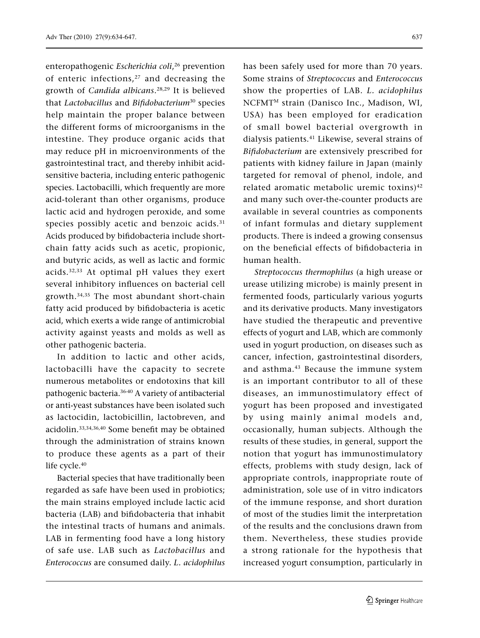enteropathogenic *Escherichia coli*, 26 prevention of enteric infections, $27$  and decreasing the growth of *Candida albicans*. 28,29 It is believed that *Lactobacillus* and *Bifidobacterium*30 species help maintain the proper balance between the different forms of microorganisms in the intestine. They produce organic acids that may reduce pH in microenvironments of the gastrointestinal tract, and thereby inhibit acidsensitive bacteria, including enteric pathogenic species. Lactobacilli, which frequently are more acid-tolerant than other organisms, produce lactic acid and hydrogen peroxide, and some species possibly acetic and benzoic acids.<sup>31</sup> Acids produced by bifidobacteria include shortchain fatty acids such as acetic, propionic, and butyric acids, as well as lactic and formic acids.32,33 At optimal pH values they exert several inhibitory influences on bacterial cell growth.34,35 The most abundant short-chain fatty acid produced by bifidobacteria is acetic acid, which exerts a wide range of antimicrobial activity against yeasts and molds as well as other pathogenic bacteria.

In addition to lactic and other acids, lactobacilli have the capacity to secrete numerous metabolites or endotoxins that kill pathogenic bacteria.36-40 A variety of antibacterial or anti-yeast substances have been isolated such as lactocidin, lactobicillin, lactobreven, and acidolin.33,34,36,40 Some benefit may be obtained through the administration of strains known to produce these agents as a part of their life cycle.<sup>40</sup>

Bacterial species that have traditionally been regarded as safe have been used in probiotics; the main strains employed include lactic acid bacteria (LAB) and bifidobacteria that inhabit the intestinal tracts of humans and animals. LAB in fermenting food have a long history of safe use. LAB such as *Lactobacillus* and *Enterococcus* are consumed daily. *L. acidophilus* 

has been safely used for more than 70 years. Some strains of *Streptococcus* and *Enterococcus* show the properties of LAB. *L. acidophilus* NCFMTM strain (Danisco Inc., Madison, WI, USA) has been employed for eradication of small bowel bacterial overgrowth in dialysis patients.<sup>41</sup> Likewise, several strains of *Bifidobacterium* are extensively prescribed for patients with kidney failure in Japan (mainly targeted for removal of phenol, indole, and related aromatic metabolic uremic toxins)<sup>42</sup> and many such over-the-counter products are available in several countries as components of infant formulas and dietary supplement products. There is indeed a growing consensus on the beneficial effects of bifidobacteria in human health.

*Streptococcus thermophilus* (a high urease or urease utilizing microbe) is mainly present in fermented foods, particularly various yogurts and its derivative products. Many investigators have studied the therapeutic and preventive effects of yogurt and LAB, which are commonly used in yogurt production, on diseases such as cancer, infection, gastrointestinal disorders, and asthma.43 Because the immune system is an important contributor to all of these diseases, an immunostimulatory effect of yogurt has been proposed and investigated by using mainly animal models and, occasionally, human subjects. Although the results of these studies, in general, support the notion that yogurt has immunostimulatory effects, problems with study design, lack of appropriate controls, inappropriate route of administration, sole use of in vitro indicators of the immune response, and short duration of most of the studies limit the interpretation of the results and the conclusions drawn from them. Nevertheless, these studies provide a strong rationale for the hypothesis that increased yogurt consumption, particularly in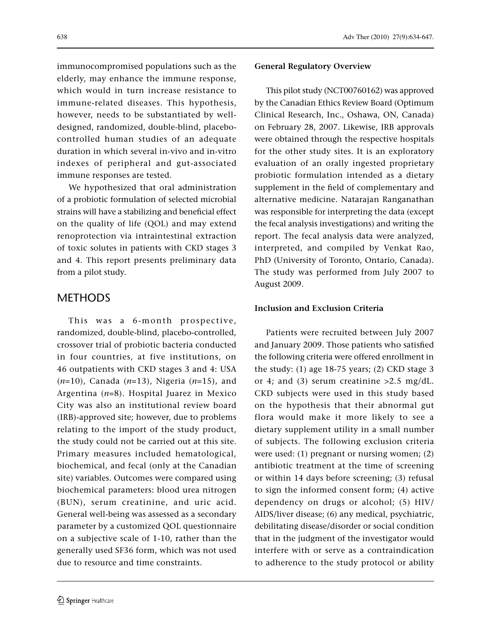immunocompromised populations such as the elderly, may enhance the immune response, which would in turn increase resistance to immune-related diseases. This hypothesis, however, needs to be substantiated by welldesigned, randomized, double-blind, placebocontrolled human studies of an adequate duration in which several in-vivo and in-vitro indexes of peripheral and gut-associated immune responses are tested.

We hypothesized that oral administration of a probiotic formulation of selected microbial strains will have a stabilizing and beneficial effect on the quality of life (QOL) and may extend renoprotection via intraintestinal extraction of toxic solutes in patients with CKD stages 3 and 4. This report presents preliminary data from a pilot study.

## METHODS

This was a 6-month prospective, randomized, double-blind, placebo-controlled, crossover trial of probiotic bacteria conducted in four countries, at five institutions, on 46 outpatients with CKD stages 3 and 4: USA (*n*=10), Canada (*n*=13), Nigeria (*n*=15), and Argentina (*n*=8). Hospital Juarez in Mexico City was also an institutional review board (IRB)-approved site; however, due to problems relating to the import of the study product, the study could not be carried out at this site. Primary measures included hematological, biochemical, and fecal (only at the Canadian site) variables. Outcomes were compared using biochemical parameters: blood urea nitrogen (BUN), serum creatinine, and uric acid. General well-being was assessed as a secondary parameter by a customized QOL questionnaire on a subjective scale of 1-10, rather than the generally used SF36 form, which was not used due to resource and time constraints.

### **General Regulatory Overview**

This pilot study (NCT00760162) was approved by the Canadian Ethics Review Board (Optimum Clinical Research, Inc., Oshawa, ON, Canada) on February 28, 2007. Likewise, IRB approvals were obtained through the respective hospitals for the other study sites. It is an exploratory evaluation of an orally ingested proprietary probiotic formulation intended as a dietary supplement in the field of complementary and alternative medicine. Natarajan Ranganathan was responsible for interpreting the data (except the fecal analysis investigations) and writing the report. The fecal analysis data were analyzed, interpreted, and compiled by Venkat Rao, PhD (University of Toronto, Ontario, Canada). The study was performed from July 2007 to August 2009.

### **Inclusion and Exclusion Criteria**

Patients were recruited between July 2007 and January 2009. Those patients who satisfied the following criteria were offered enrollment in the study: (1) age 18-75 years; (2) CKD stage 3 or 4; and (3) serum creatinine  $>2.5$  mg/dL. CKD subjects were used in this study based on the hypothesis that their abnormal gut flora would make it more likely to see a dietary supplement utility in a small number of subjects. The following exclusion criteria were used: (1) pregnant or nursing women; (2) antibiotic treatment at the time of screening or within 14 days before screening; (3) refusal to sign the informed consent form; (4) active dependency on drugs or alcohol; (5) HIV/ AIDS/liver disease; (6) any medical, psychiatric, debilitating disease/disorder or social condition that in the judgment of the investigator would interfere with or serve as a contraindication to adherence to the study protocol or ability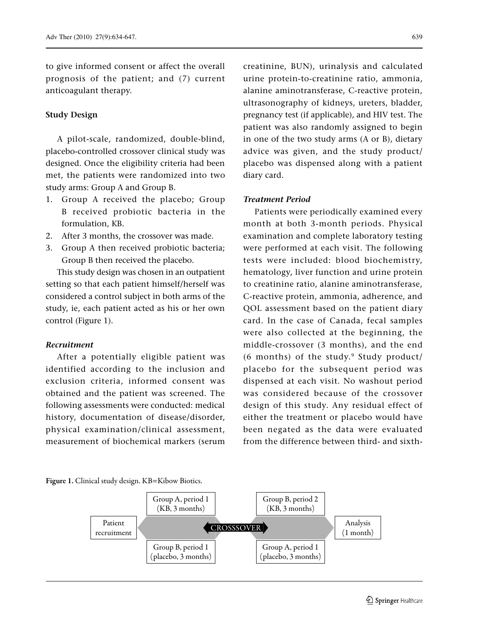#### **Study Design**

A pilot-scale, randomized, double-blind, placebo-controlled crossover clinical study was designed. Once the eligibility criteria had been met, the patients were randomized into two study arms: Group A and Group B.

- 1. Group A received the placebo; Group B received probiotic bacteria in the formulation, KB.
- 2. After 3 months, the crossover was made.
- 3. Group A then received probiotic bacteria; Group B then received the placebo.

This study design was chosen in an outpatient setting so that each patient himself/herself was considered a control subject in both arms of the study, ie, each patient acted as his or her own control (Figure 1).

#### *Recruitment*

After a potentially eligible patient was identified according to the inclusion and exclusion criteria, informed consent was obtained and the patient was screened. The following assessments were conducted: medical history, documentation of disease/disorder, physical examination/clinical assessment, measurement of biochemical markers (serum creatinine, BUN), urinalysis and calculated urine protein-to-creatinine ratio, ammonia, alanine aminotransferase, C-reactive protein, ultrasonography of kidneys, ureters, bladder, pregnancy test (if applicable), and HIV test. The patient was also randomly assigned to begin in one of the two study arms (A or B), dietary advice was given, and the study product/ placebo was dispensed along with a patient diary card.

#### *Treatment Period*

Patients were periodically examined every month at both 3-month periods. Physical examination and complete laboratory testing were performed at each visit. The following tests were included: blood biochemistry, hematology, liver function and urine protein to creatinine ratio, alanine aminotransferase, C-reactive protein, ammonia, adherence, and QOL assessment based on the patient diary card. In the case of Canada, fecal samples were also collected at the beginning, the middle-crossover (3 months), and the end (6 months) of the study. $9$  Study product/ placebo for the subsequent period was dispensed at each visit. No washout period was considered because of the crossover design of this study. Any residual effect of either the treatment or placebo would have been negated as the data were evaluated from the difference between third- and sixth-

#### Figure 1. Clinical study design. KB=Kibow Biotics.

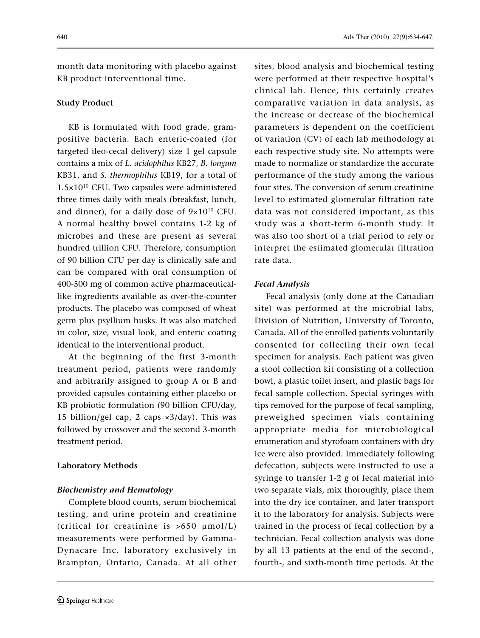month data monitoring with placebo against KB product interventional time.

### **Study Product**

KB is formulated with food grade, grampositive bacteria. Each enteric-coated (for targeted ileo-cecal delivery) size 1 gel capsule contains a mix of *L. acidophilus* KB27, *B. longum* KB31, and *S. thermophilus* KB19, for a total of  $1.5\times10^{10}$  CFU. Two capsules were administered three times daily with meals (breakfast, lunch, and dinner), for a daily dose of  $9\times10^{10}$  CFU. A normal healthy bowel contains 1-2 kg of microbes and these are present as several hundred trillion CFU. Therefore, consumption of 90 billion CFU per day is clinically safe and can be compared with oral consumption of 400-500 mg of common active pharmaceuticallike ingredients available as over-the-counter products. The placebo was composed of wheat germ plus psyllium husks. It was also matched in color, size, visual look, and enteric coating identical to the interventional product.

At the beginning of the first 3-month treatment period, patients were randomly and arbitrarily assigned to group A or B and provided capsules containing either placebo or KB probiotic formulation (90 billion CFU/day, 15 billion/gel cap, 2 caps ×3/day). This was followed by crossover and the second 3-month treatment period.

### **Laboratory Methods**

### *Biochemistry and Hematology*

Complete blood counts, serum biochemical testing, and urine protein and creatinine (critical for creatinine is >650 µmol/L) measurements were performed by Gamma-Dynacare Inc. laboratory exclusively in Brampton, Ontario, Canada. At all other

sites, blood analysis and biochemical testing were performed at their respective hospital's clinical lab. Hence, this certainly creates comparative variation in data analysis, as the increase or decrease of the biochemical parameters is dependent on the coefficient of variation (CV) of each lab methodology at each respective study site. No attempts were made to normalize or standardize the accurate performance of the study among the various four sites. The conversion of serum creatinine level to estimated glomerular filtration rate data was not considered important, as this study was a short-term 6-month study. It was also too short of a trial period to rely or interpret the estimated glomerular filtration rate data.

### *Fecal Analysis*

Fecal analysis (only done at the Canadian site) was performed at the microbial labs, Division of Nutrition, University of Toronto, Canada. All of the enrolled patients voluntarily consented for collecting their own fecal specimen for analysis. Each patient was given a stool collection kit consisting of a collection bowl, a plastic toilet insert, and plastic bags for fecal sample collection. Special syringes with tips removed for the purpose of fecal sampling, preweighed specimen vials containing appropriate media for microbiological enumeration and styrofoam containers with dry ice were also provided. Immediately following defecation, subjects were instructed to use a syringe to transfer 1-2 g of fecal material into two separate vials, mix thoroughly, place them into the dry ice container, and later transport it to the laboratory for analysis. Subjects were trained in the process of fecal collection by a technician. Fecal collection analysis was done by all 13 patients at the end of the second-, fourth-, and sixth-month time periods. At the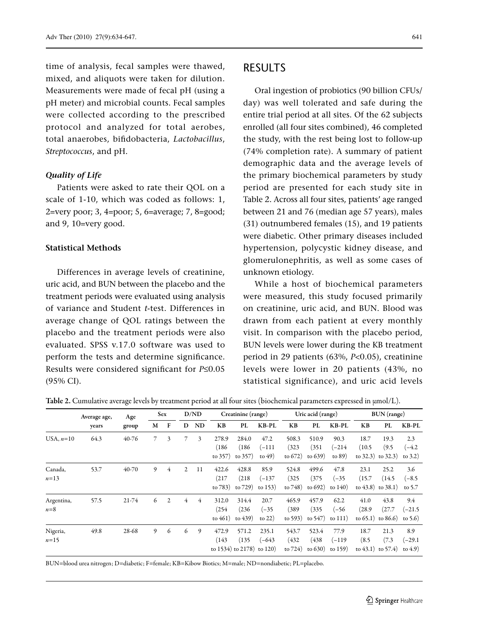time of analysis, fecal samples were thawed, mixed, and aliquots were taken for dilution. Measurements were made of fecal pH (using a pH meter) and microbial counts. Fecal samples were collected according to the prescribed protocol and analyzed for total aerobes, total anaerobes, bifidobacteria, *Lactobacillus*, *Streptococcus*, and pH.

#### *Quality of Life*

Patients were asked to rate their QOL on a scale of 1-10, which was coded as follows: 1, 2=very poor; 3, 4=poor; 5, 6=average; 7, 8=good; and 9, 10=very good.

#### **Statistical Methods**

Differences in average levels of creatinine, uric acid, and BUN between the placebo and the treatment periods were evaluated using analysis of variance and Student *t*-test. Differences in average change of QOL ratings between the placebo and the treatment periods were also evaluated. SPSS v.17.0 software was used to perform the tests and determine significance. Results were considered significant for *P*≤0.05 (95% CI).

### RESULTS

Oral ingestion of probiotics (90 billion CFUs/ day) was well tolerated and safe during the entire trial period at all sites. Of the 62 subjects enrolled (all four sites combined), 46 completed the study, with the rest being lost to follow-up (74% completion rate). A summary of patient demographic data and the average levels of the primary biochemical parameters by study period are presented for each study site in Table 2. Across all four sites, patients' age ranged between 21 and 76 (median age 57 years), males (31) outnumbered females (15), and 19 patients were diabetic. Other primary diseases included hypertension, polycystic kidney disease, and glomerulonephritis, as well as some cases of unknown etiology.

While a host of biochemical parameters were measured, this study focused primarily on creatinine, uric acid, and BUN. Blood was drawn from each patient at every monthly visit. In comparison with the placebo period, BUN levels were lower during the KB treatment period in 29 patients (63%, *P*<0.05), creatinine levels were lower in 20 patients (43%, no statistical significance), and uric acid levels

|             | Average age, | Age   |   | Sex            |                | D/ND |           | Creatinine (range) |          |            | Uric acid (range) |           |                         | BUN (range) |            |
|-------------|--------------|-------|---|----------------|----------------|------|-----------|--------------------|----------|------------|-------------------|-----------|-------------------------|-------------|------------|
|             | years        | group | M | F              | D              | ND   | <b>KB</b> | PL                 | $KB-PL$  | <b>KB</b>  | PL                | KB-PL     | KB                      | PL          | KB-PL      |
| USA, $n=10$ | 64.3         | 40-76 | 7 | 3              |                | 3    | 278.9     | 284.0              | 47.2     | 508.3      | 510.9             | 90.3      | 18.7                    | 19.3        | 2.3        |
|             |              |       |   |                |                |      | (186)     | (186)              | (–111    | (323)      | (351              | $(-214)$  | (10.5)                  | (9.5)       | $(-4.2)$   |
|             |              |       |   |                |                |      | to 357)   | to 357)            | to $49)$ | to $672$ ) | to $639$          | to $89)$  | to $32.3$ to $32.3$     |             | to $3.2$ ) |
| Canada,     | 53.7         | 40-70 | 9 | 4              | $\overline{2}$ | 11   | 422.6     | 428.8              | 85.9     | 524.8      | 499.6             | 47.8      | 23.1                    | 25.2        | 3.6        |
| $n=13$      |              |       |   |                |                |      | (217)     | (218)              | $(-137)$ | (325)      | (375)             | $(-35)$   | (15.7)                  | (14.5)      | $(-8.5)$   |
|             |              |       |   |                |                |      | to 783)   | to 729)            | to $153$ | to 748)    | to $692)$         | to $140$  | to $(43.8)$ to $(38.1)$ |             | to 5.7     |
| Argentina,  | 57.5         | 21-74 | 6 | $\mathfrak{2}$ | 4              | 4    | 312.0     | 314.4              | 20.7     | 465.9      | 457.9             | 62.2      | 41.0                    | 43.8        | 9.4        |
| $n=8$       |              |       |   |                |                |      | (254)     | (236)              | $(-35)$  | (389)      | (335)             | $(-56)$   | (28.9)                  | (27.7)      | $(-21.5)$  |
|             |              |       |   |                |                |      | to $461)$ | to $(439)$         | to $22)$ | to $593)$  | to $547$ )        | to $111)$ | to $(65.1)$ to $(86.6)$ |             | to $5.6$   |
| Nigeria,    | 49.8         | 28-68 | 9 | 6              | 6              | 9    | 472.9     | 571.2              | 235.1    | 543.7      | 523.4             | 77.9      | 18.7                    | 21.3        | 8.9        |
| $n=15$      |              |       |   |                |                |      | (143      | (135)              | $(-643)$ | (432)      | (438)             | (–119     | (8.5)                   | (7.3)       | $(-29.1)$  |
|             |              |       |   |                |                |      |           | to 1534) to 2178)  | to $120$ | to 724)    | to $630$          | to 159)   | to $(43.1)$ to $(57.4)$ |             | to $(4.9)$ |

Table 2. Cumulative average levels by treatment period at all four sites (biochemical parameters expressed in µmol/L).

BUN=blood urea nitrogen; D=diabetic; F=female; KB=Kibow Biotics; M=male; ND=nondiabetic; PL=placebo.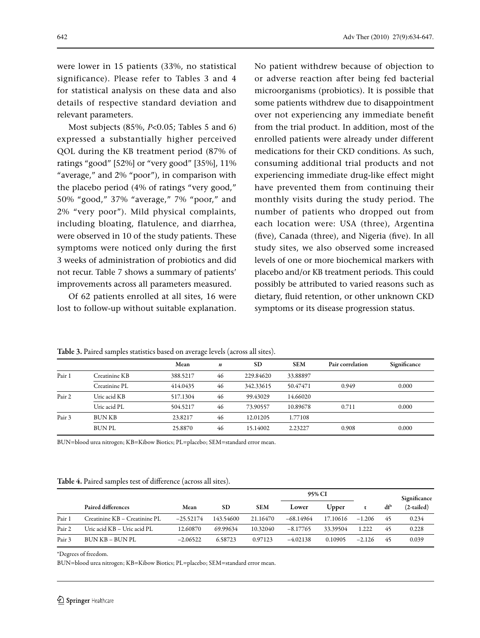were lower in 15 patients (33%, no statistical significance). Please refer to Tables 3 and 4 for statistical analysis on these data and also details of respective standard deviation and relevant parameters.

Most subjects (85%, *P*<0.05; Tables 5 and 6) expressed a substantially higher perceived QOL during the KB treatment period (87% of ratings "good" [52%] or "very good" [35%], 11% "average," and 2% "poor"), in comparison with the placebo period (4% of ratings "very good," 50% "good," 37% "average," 7% "poor," and 2% "very poor"). Mild physical complaints, including bloating, flatulence, and diarrhea, were observed in 10 of the study patients. These symptoms were noticed only during the first 3 weeks of administration of probiotics and did not recur. Table 7 shows a summary of patients' improvements across all parameters measured.

Of 62 patients enrolled at all sites, 16 were lost to follow-up without suitable explanation. No patient withdrew because of objection to or adverse reaction after being fed bacterial microorganisms (probiotics). It is possible that some patients withdrew due to disappointment over not experiencing any immediate benefit from the trial product. In addition, most of the enrolled patients were already under different medications for their CKD conditions. As such, consuming additional trial products and not experiencing immediate drug-like effect might have prevented them from continuing their monthly visits during the study period. The number of patients who dropped out from each location were: USA (three), Argentina (five), Canada (three), and Nigeria (five). In all study sites, we also observed some increased levels of one or more biochemical markers with placebo and/or KB treatment periods. This could possibly be attributed to varied reasons such as dietary, fluid retention, or other unknown CKD symptoms or its disease progression status.

|        |               | Mean     | n  | <b>SD</b> | <b>SEM</b> | Pair correlation | Significance |
|--------|---------------|----------|----|-----------|------------|------------------|--------------|
| Pair 1 | Creatinine KB | 388.5217 | 46 | 229.84620 | 33.88897   |                  |              |
|        | Creatinine PL | 414.0435 | 46 | 342.33615 | 50.47471   | 0.949            | 0.000        |
| Pair 2 | Uric acid KB  | 517.1304 | 46 | 99.43029  | 14.66020   |                  |              |
|        | Uric acid PL  | 504.5217 | 46 | 73.90557  | 10.89678   | 0.711            | 0.000        |
| Pair 3 | <b>BUNKB</b>  | 23.8217  | 46 | 12.01205  | 1.77108    |                  |              |
|        | <b>BUNPL</b>  | 25.8870  | 46 | 15.14002  | 2.23227    | 0.908            | 0.000        |

Table 3. Paired samples statistics based on average levels (across all sites).

BUN=blood urea nitrogen; KB=Kibow Biotics; PL=placebo; SEM=standard error mean.

| <b>Table 4.</b> Paired samples test of difference (across all sites). |  |  |
|-----------------------------------------------------------------------|--|--|
|-----------------------------------------------------------------------|--|--|

|        |                               |             |           |            | 95% CI     |          |          | Significance |              |
|--------|-------------------------------|-------------|-----------|------------|------------|----------|----------|--------------|--------------|
|        | Paired differences            | Mean        | <b>SD</b> | <b>SEM</b> | Lower      | Upper    |          | $df^*$       | $(2-tailed)$ |
| Pair 1 | Creatinine KB – Creatinine PL | $-25.52174$ | 143,54600 | 21.16470   | -68.14964  | 17.10616 | $-1.206$ | 45           | 0.234        |
| Pair 2 | Uric acid KB – Uric acid PL   | 12.60870    | 69.99634  | 10.32040   | $-8.17765$ | 33.39504 | 1.222    | 45           | 0.228        |
| Pair 3 | BUN KB – BUN PL               | $-2.06522$  | 6.58723   | 0.97123    | $-4.02138$ | 0.10905  | $-2.126$ | 45           | 0.039        |

\*Degrees of freedom.

BUN=blood urea nitrogen; KB=Kibow Biotics; PL=placebo; SEM=standard error mean.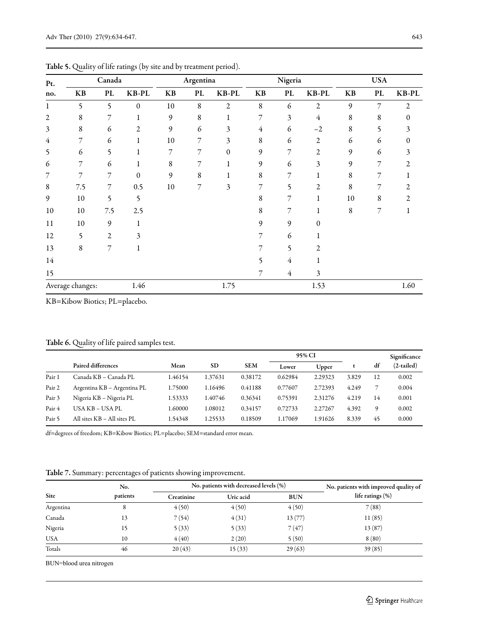| Pt.            |                  |                | Canada<br>Argentina<br>Nigeria |        |             |       | <b>USA</b> |                |                |    |    |       |
|----------------|------------------|----------------|--------------------------------|--------|-------------|-------|------------|----------------|----------------|----|----|-------|
| no.            | KB               | PL             | KB-PL                          | KB     | PL          | KB-PL | KB         | PL             | KB-PL          | KB | PL | KB-PL |
| 1              | 5                | 5              | $\boldsymbol{0}$               | 10     | $\,$ 8 $\,$ | 2     | 8          | 6              | 2              | 9  | 7  | 2     |
| $\overline{c}$ | 8                | 7              | 1                              | 9      | $\,$ 8 $\,$ |       | 7          | 3              | 4              | 8  | 8  | 0     |
| 3              | 8                | 6              | 2                              | 9      | 6           | 3     | 4          | 6              | $-2$           | 8  | 5  |       |
| 4              | 7                | 6              | 1                              | 10     | 7           | 3     | 8          | 6              | 2              | 6  | 6  |       |
| 5              | 6                | 5              | 1                              | 7      | 7           | 0     | 9          | 7              | 2              | 9  | 6  | 3     |
| 6              | 7                | 6              | 1                              | 8      | 7           |       | 9          | 6              | 3              | 9  | 7  | 2     |
| 7              | 7                | 7              | $\mathbf{0}$                   | 9      | 8           |       | 8          | 7              |                | 8  |    |       |
| 8              | 7.5              | 7              | 0.5                            | $10\,$ | 7           | 3     | 7          | 5              | 2              | 8  | 7  |       |
| 9              | 10               | 5              | 5                              |        |             |       | 8          | 7              | 1              | 10 | 8  |       |
| 10             | 10               | 7.5            | 2.5                            |        |             |       | 8          | 7              | 1              | 8  | 7  |       |
| 11             | 10               | 9              | 1                              |        |             |       | 9          | 9              | 0              |    |    |       |
| 12             | 5                | $\mathfrak{2}$ | 3                              |        |             |       | 7          | 6              |                |    |    |       |
| 13             | $\,$ 8 $\,$      | 7              | 1                              |        |             |       | 7          | 5              | $\overline{2}$ |    |    |       |
| 14             |                  |                |                                |        |             |       | 5          | $\overline{4}$ |                |    |    |       |
| 15             |                  |                |                                |        |             |       | 7          | $\overline{4}$ | 3              |    |    |       |
|                | Average changes: |                | 1.46                           |        |             | 1.75  |            |                | 1.53           |    |    | 1.60  |

Table 5. Quality of life ratings (by site and by treatment period).

KB=Kibow Biotics; PL=placebo.

#### Table 6. Quality of life paired samples test.

|                   |                             |         |           |            | 95% CI  |         |       |    | Significance |
|-------------------|-----------------------------|---------|-----------|------------|---------|---------|-------|----|--------------|
|                   | Paired differences          | Mean    | <b>SD</b> | <b>SEM</b> | Lower   | Upper   |       | df | $(2-tailed)$ |
| Pair 1            | Canada KB – Canada PL       | 1.46154 | 1.37631   | 0.38172    | 0.62984 | 2.29323 | 3.829 | 12 | 0.002        |
| Pair 2            | Argentina KB – Argentina PL | .75000  | 1.16496   | 0.41188    | 0.77607 | 2.72393 | 4.249 | ⇁  | 0.004        |
| Pair 3            | Nigeria KB - Nigeria PL     | 1.53333 | 1.40746   | 0.36341    | 0.75391 | 2.31276 | 4.219 | 14 | 0.001        |
| Pair 4            | USA KB – USA PL             | .60000  | 1.08012   | 0.34157    | 0.72733 | 2.27267 | 4.392 | 9  | 0.002        |
| Pair <sub>5</sub> | All sites KB - All sites PL | .54348  | 1.25533   | 0.18509    | 1.17069 | .91626  | 8.339 | 45 | 0.000        |

df=degrees of freedom; KB=Kibow Biotics; PL=placebo; SEM=standard error mean.

#### Table 7. Summary: percentages of patients showing improvement.

|            | No.      |            | No. patients with decreased levels (%) | No. patients with improved quality of |                     |
|------------|----------|------------|----------------------------------------|---------------------------------------|---------------------|
| Site       | patients | Creatinine | Uric acid                              | <b>BUN</b>                            | life ratings $(\%)$ |
| Argentina  |          | 4(50)      | 4(50)                                  | 4(50)                                 | 7(88)               |
| Canada     | 13       | 7(54)      | 4(31)                                  | 13(77)                                | 11(85)              |
| Nigeria    | 15       | 5(33)      | 5(33)                                  | 7(47)                                 | 13 (87)             |
| <b>USA</b> | 10       | 4(40)      | 2(20)                                  | 5(50)                                 | 8(80)               |
| Totals     | 46       | 20(43)     | 15(33)                                 | 29(63)                                | 39(85)              |

BUN=blood urea nitrogen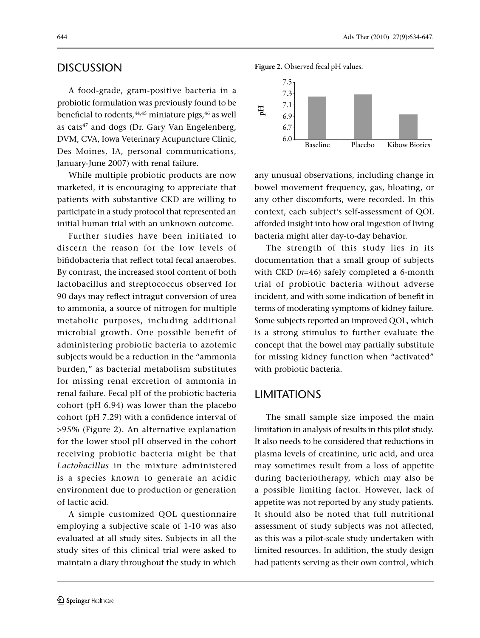## DISCUSSION

A food-grade, gram-positive bacteria in a probiotic formulation was previously found to be beneficial to rodents, $44,45$  miniature pigs, $46$  as well as cats<sup>47</sup> and dogs (Dr. Gary Van Engelenberg, DVM, CVA, Iowa Veterinary Acupuncture Clinic, Des Moines, IA, personal communications, January-June 2007) with renal failure.

While multiple probiotic products are now marketed, it is encouraging to appreciate that patients with substantive CKD are willing to participate in a study protocol that represented an initial human trial with an unknown outcome.

Further studies have been initiated to discern the reason for the low levels of bifidobacteria that reflect total fecal anaerobes. By contrast, the increased stool content of both lactobacillus and streptococcus observed for 90 days may reflect intragut conversion of urea to ammonia, a source of nitrogen for multiple metabolic purposes, including additional microbial growth. One possible benefit of administering probiotic bacteria to azotemic subjects would be a reduction in the "ammonia burden," as bacterial metabolism substitutes for missing renal excretion of ammonia in renal failure. Fecal pH of the probiotic bacteria cohort (pH 6.94) was lower than the placebo cohort (pH 7.29) with a confidence interval of >95% (Figure 2). An alternative explanation for the lower stool pH observed in the cohort receiving probiotic bacteria might be that *Lactobacillus* in the mixture administered is a species known to generate an acidic environment due to production or generation of lactic acid.

A simple customized QOL questionnaire employing a subjective scale of 1-10 was also evaluated at all study sites. Subjects in all the study sites of this clinical trial were asked to maintain a diary throughout the study in which

Figure 2. Observed fecal pH values.



any unusual observations, including change in bowel movement frequency, gas, bloating, or any other discomforts, were recorded. In this context, each subject's self-assessment of QOL afforded insight into how oral ingestion of living bacteria might alter day-to-day behavior.

The strength of this study lies in its documentation that a small group of subjects with CKD (*n*=46) safely completed a 6-month trial of probiotic bacteria without adverse incident, and with some indication of benefit in terms of moderating symptoms of kidney failure. Some subjects reported an improved QOL, which is a strong stimulus to further evaluate the concept that the bowel may partially substitute for missing kidney function when "activated" with probiotic bacteria.

## **LIMITATIONS**

The small sample size imposed the main limitation in analysis of results in this pilot study. It also needs to be considered that reductions in plasma levels of creatinine, uric acid, and urea may sometimes result from a loss of appetite during bacteriotherapy, which may also be a possible limiting factor. However, lack of appetite was not reported by any study patients. It should also be noted that full nutritional assessment of study subjects was not affected, as this was a pilot-scale study undertaken with limited resources. In addition, the study design had patients serving as their own control, which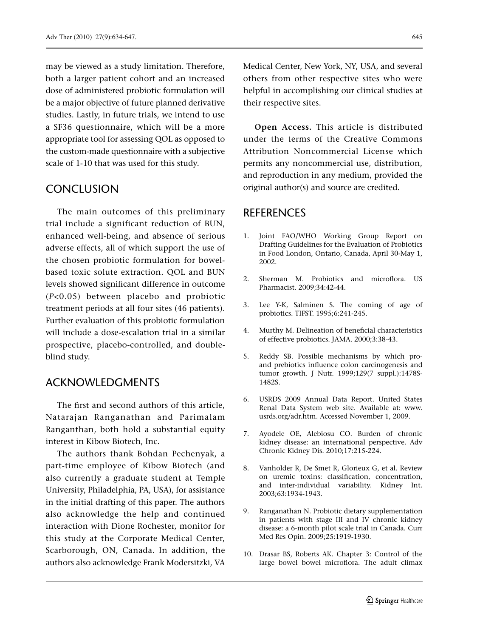may be viewed as a study limitation. Therefore, both a larger patient cohort and an increased dose of administered probiotic formulation will be a major objective of future planned derivative studies. Lastly, in future trials, we intend to use a SF36 questionnaire, which will be a more appropriate tool for assessing QOL as opposed to the custom-made questionnaire with a subjective scale of 1-10 that was used for this study.

## **CONCLUSION**

The main outcomes of this preliminary trial include a significant reduction of BUN, enhanced well-being, and absence of serious adverse effects, all of which support the use of the chosen probiotic formulation for bowelbased toxic solute extraction. QOL and BUN levels showed significant difference in outcome (*P*<0.05) between placebo and probiotic treatment periods at all four sites (46 patients). Further evaluation of this probiotic formulation will include a dose-escalation trial in a similar prospective, placebo-controlled, and doubleblind study.

## ACKNOWLEDGMENTS

The first and second authors of this article, Natarajan Ranganathan and Parimalam Ranganthan, both hold a substantial equity interest in Kibow Biotech, Inc.

The authors thank Bohdan Pechenyak, a part-time employee of Kibow Biotech (and also currently a graduate student at Temple University, Philadelphia, PA, USA), for assistance in the initial drafting of this paper. The authors also acknowledge the help and continued interaction with Dione Rochester, monitor for this study at the Corporate Medical Center, Scarborough, ON, Canada. In addition, the authors also acknowledge Frank Modersitzki, VA

Medical Center, New York, NY, USA, and several others from other respective sites who were helpful in accomplishing our clinical studies at their respective sites.

**Open Access.** This article is distributed under the terms of the Creative Commons Attribution Noncommercial License which permits any noncommercial use, distribution, and reproduction in any medium, provided the original author(s) and source are credited.

## REFERENCES

- 1. Joint FAO/WHO Working Group Report on Drafting Guidelines for the Evaluation of Probiotics in Food London, Ontario, Canada, April 30-May 1, 2002.
- 2. Sherman M. Probiotics and microflora. US Pharmacist. 2009;34:42-44.
- 3. Lee Y-K, Salminen S. The coming of age of probiotics. TIFST. 1995;6:241-245.
- 4. Murthy M. Delineation of beneficial characteristics of effective probiotics. JAMA. 2000;3:38-43.
- 5. Reddy SB. Possible mechanisms by which proand prebiotics influence colon carcinogenesis and tumor growth. J Nutr. 1999;129(7 suppl.):1478S-1482S.
- 6. USRDS 2009 Annual Data Report. United States Renal Data System web site. Available at: www. usrds.org/adr.htm. Accessed November 1, 2009.
- 7. Ayodele OE, Alebiosu CO. Burden of chronic kidney disease: an international perspective. Adv Chronic Kidney Dis. 2010;17:215-224.
- 8. Vanholder R, De Smet R, Glorieux G, et al. Review on uremic toxins: classification, concentration, and inter-individual variability. Kidney Int. 2003;63:1934-1943.
- 9. Ranganathan N. Probiotic dietary supplementation in patients with stage III and IV chronic kidney disease: a 6-month pilot scale trial in Canada. Curr Med Res Opin. 2009;25:1919-1930.
- 10. Drasar BS, Roberts AK. Chapter 3: Control of the large bowel bowel microflora. The adult climax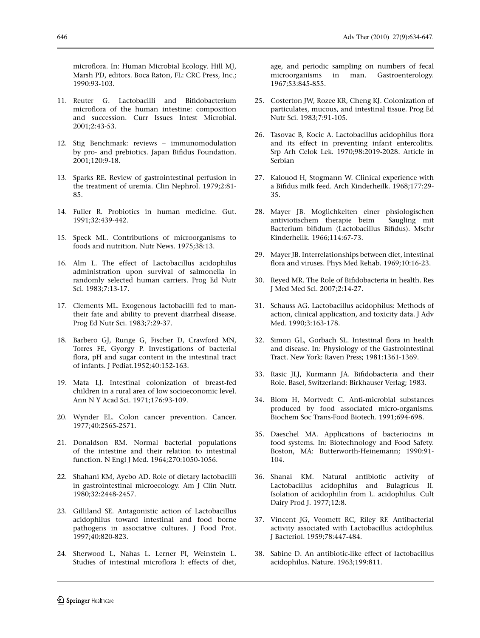microflora. In: Human Microbial Ecology. Hill MJ, Marsh PD, editors. Boca Raton, FL: CRC Press, Inc.; 1990:93-103.

- 11. Reuter G. Lactobacilli and Bifidobacterium microflora of the human intestine: composition and succession. Curr Issues Intest Microbial. 2001;2:43-53.
- 12. Stig Benchmark: reviews immunomodulation by pro- and prebiotics. Japan Bifidus Foundation. 2001;120:9-18.
- 13. Sparks RE. Review of gastrointestinal perfusion in the treatment of uremia. Clin Nephrol. 1979;2:81- 85.
- 14. Fuller R. Probiotics in human medicine. Gut. 1991;32:439-442.
- 15. Speck ML. Contributions of microorganisms to foods and nutrition. Nutr News. 1975;38:13.
- 16. Alm L. The effect of Lactobacillus acidophilus administration upon survival of salmonella in randomly selected human carriers. Prog Ed Nutr Sci. 1983;7:13-17.
- 17. Clements ML. Exogenous lactobacilli fed to mantheir fate and ability to prevent diarrheal disease. Prog Ed Nutr Sci. 1983;7:29-37.
- 18. Barbero GJ, Runge G, Fischer D, Crawford MN, Torres FE, Gyorgy P. Investigations of bacterial flora, pH and sugar content in the intestinal tract of infants. J Pediat.1952;40:152-163.
- 19. Mata LJ. Intestinal colonization of breast-fed children in a rural area of low socioeconomic level. Ann N Y Acad Sci. 1971;176:93-109.
- 20. Wynder EL. Colon cancer prevention. Cancer. 1977;40:2565-2571.
- 21. Donaldson RM. Normal bacterial populations of the intestine and their relation to intestinal function. N Engl J Med. 1964;270:1050-1056.
- 22. Shahani KM, Ayebo AD. Role of dietary lactobacilli in gastrointestinal microecology. Am J Clin Nutr. 1980;32:2448-2457.
- 23. Gilliland SE. Antagonistic action of Lactobacillus acidophilus toward intestinal and food borne pathogens in associative cultures. J Food Prot. 1997;40:820-823.
- 24. Sherwood L, Nahas L. Lerner PI, Weinstein L. Studies of intestinal microflora I: effects of diet,

age, and periodic sampling on numbers of fecal microorganisms in man. Gastroenterology. 1967;53:845-855.

- 25. Costerton JW, Rozee KR, Cheng KJ. Colonization of particulates, mucous, and intestinal tissue. Prog Ed Nutr Sci. 1983;7:91-105.
- 26. Tasovac B, Kocic A. Lactobacillus acidophilus flora and its effect in preventing infant entercolitis. Srp Arh Celok Lek. 1970;98:2019-2028. Article in Serbian
- 27. Kalouod H, Stogmann W. Clinical experience with a Bifidus milk feed. Arch Kinderheilk. 1968;177:29- 35.
- 28. Mayer JB. Moglichkeiten einer phsiologischen antiviotischem therapie beim Saugling mit Bacterium bifidum (Lactobacillus Bifidus). Mschr Kinderheilk. 1966;114:67-73.
- 29. Mayer JB. Interrelationships between diet, intestinal flora and viruses. Phys Med Rehab. 1969;10:16-23.
- 30. Reyed MR. The Role of Bifidobacteria in health. Res J Med Med Sci. 2007;2:14-27.
- 31. Schauss AG. Lactobacillus acidophilus: Methods of action, clinical application, and toxicity data. J Adv Med. 1990;3:163-178.
- 32. Simon GL, Gorbach SL. Intestinal flora in health and disease. In: Physiology of the Gastrointestinal Tract. New York: Raven Press; 1981:1361-1369.
- 33. Rasic JLJ, Kurmann JA. Bifidobacteria and their Role. Basel, Switzerland: Birkhauser Verlag; 1983.
- 34. Blom H, Mortvedt C. Anti-microbial substances produced by food associated micro-organisms. Biochem Soc Trans-Food Biotech. 1991;694-698.
- 35. Daeschel MA. Applications of bacteriocins in food systems. In: Biotechnology and Food Safety. Boston, MA: Butterworth-Heinemann; 1990:91- 104.
- 36. Shanai KM. Natural antibiotic activity of Lactobacillus acidophilus and Bulagricus II. Isolation of acidophilin from L. acidophilus. Cult Dairy Prod J. 1977;12:8.
- 37. Vincent JG, Veomett RC, Riley RF. Antibacterial activity associated with Lactobacillus acidophilus. J Bacteriol. 1959;78:447-484.
- 38. Sabine D. An antibiotic-like effect of lactobacillus acidophilus. Nature. 1963;199:811.